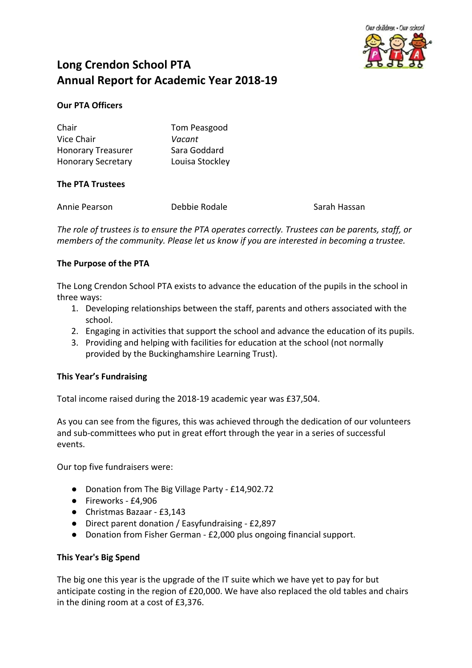

# **Long Crendon School PTA Annual Report for Academic Year 2018-19**

# **Our PTA Officers**

| Chair                     | Tom Peasgood    |
|---------------------------|-----------------|
| Vice Chair                | Vacant          |
| <b>Honorary Treasurer</b> | Sara Goddard    |
| <b>Honorary Secretary</b> | Louisa Stockley |

# **The PTA Trustees**

| Annie Pearson | Debbie Rodale | Sarah Hassan |
|---------------|---------------|--------------|
|               |               |              |

*The role of trustees is to ensure the PTA operates correctly. Trustees can be parents, staff, or members of the community. Please let us know if you are interested in becoming a trustee.*

# **The Purpose of the PTA**

The Long Crendon School PTA exists to advance the education of the pupils in the school in three ways:

- 1. Developing relationships between the staff, parents and others associated with the school.
- 2. Engaging in activities that support the school and advance the education of its pupils.
- 3. Providing and helping with facilities for education at the school (not normally provided by the Buckinghamshire Learning Trust).

# **This Year's Fundraising**

Total income raised during the 2018-19 academic year was £37,504.

As you can see from the figures, this was achieved through the dedication of our volunteers and sub-committees who put in great effort through the year in a series of successful events.

Our top five fundraisers were:

- Donation from The Big Village Party £14,902.72
- Fireworks £4,906
- Christmas Bazaar £3,143
- Direct parent donation / Easyfundraising £2,897
- Donation from Fisher German £2,000 plus ongoing financial support.

#### **This Year's Big Spend**

The big one this year is the upgrade of the IT suite which we have yet to pay for but anticipate costing in the region of £20,000. We have also replaced the old tables and chairs in the dining room at a cost of £3,376.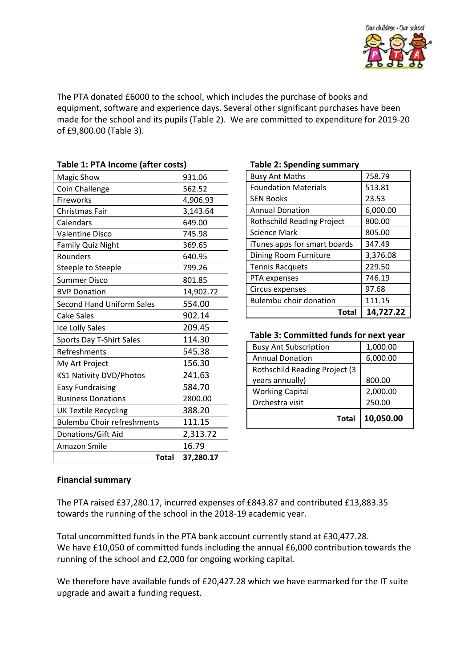

The PTA donated £6000 to the school, which includes the purchase of books and equipment, software and experience days. Several other significant purchases have been made for the school and its pupils (Table 2). We are committed to expenditure for 2019-20 of £9,800.00 (Table 3).

| TADIE I. FTA INCONIE (ANEL COSIS) |           |
|-----------------------------------|-----------|
| Magic Show                        | 931.06    |
| Coin Challenge                    | 562.52    |
| Fireworks                         | 4,906.93  |
| Christmas Fair                    | 3,143.64  |
| Calendars                         | 649.00    |
| <b>Valentine Disco</b>            | 745.98    |
| Family Quiz Night                 | 369.65    |
| Rounders                          | 640.95    |
| Steeple to Steeple                | 799.26    |
| <b>Summer Disco</b>               | 801.85    |
| <b>BVP Donation</b>               | 14,902.72 |
| Second Hand Uniform Sales         | 554.00    |
| <b>Cake Sales</b>                 | 902.14    |
| Ice Lolly Sales                   | 209.45    |
| Sports Day T-Shirt Sales          | 114.30    |
| Refreshments                      | 545.38    |
| My Art Project                    | 156.30    |
| <b>KS1 Nativity DVD/Photos</b>    | 241.63    |
| <b>Easy Fundraising</b>           | 584.70    |
| <b>Business Donations</b>         | 2800.00   |
| <b>UK Textile Recycling</b>       | 388.20    |
| <b>Bulembu Choir refreshments</b> | 111.15    |
| Donations/Gift Aid                | 2,313.72  |
| Amazon Smile                      | 16.79     |
| Total                             | 37,280.17 |

# **Table 1: PTA Income (after costs)**

#### **Table 2: Spending summary**

| Total                             | 14,727.22 |
|-----------------------------------|-----------|
| <b>Bulembu choir donation</b>     | 111.15    |
| Circus expenses                   | 97.68     |
| PTA expenses                      | 746.19    |
| <b>Tennis Racquets</b>            | 229.50    |
| Dining Room Furniture             | 3,376.08  |
| iTunes apps for smart boards      | 347.49    |
| <b>Science Mark</b>               | 805.00    |
| <b>Rothschild Reading Project</b> | 800.00    |
| <b>Annual Donation</b>            | 6,000.00  |
| <b>SEN Books</b>                  | 23.53     |
| <b>Foundation Materials</b>       | 513.81    |
| <b>Busy Ant Maths</b>             | 758.79    |
| - סיייסיי-                        |           |

**Table 3: Committed funds for next year**

| <b>Busy Ant Subscription</b>          | 1,000.00  |
|---------------------------------------|-----------|
| <b>Annual Donation</b>                | 6,000.00  |
| <b>Rothschild Reading Project (3)</b> |           |
| years annually)                       | 800.00    |
| <b>Working Capital</b>                | 2,000.00  |
| Orchestra visit                       | 250.00    |
| <b>Total</b>                          | 10,050.00 |

# **Financial summary**

The PTA raised £37,280.17, incurred expenses of £843.87 and contributed £13,883.35 towards the running of the school in the 2018-19 academic year.

Total uncommitted funds in the PTA bank account currently stand at £30,477.28. We have £10,050 of committed funds including the annual £6,000 contribution towards the running of the school and £2,000 for ongoing working capital.

We therefore have available funds of £20,427.28 which we have earmarked for the IT suite upgrade and await a funding request.